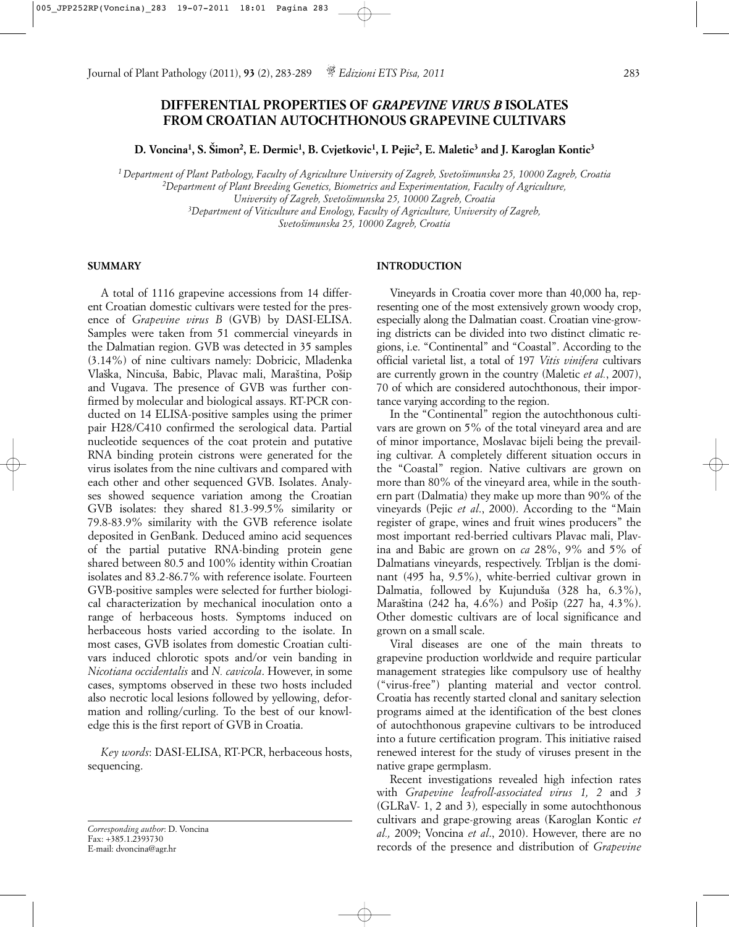# **DIFFERENTIAL PROPERTIES OF** *GRAPEVINE VIRUS B* **ISOLATES FROM CROATIAN AUTOCHTHONOUS GRAPEVINE CULTIVARS**

**D. Voncina1, S. Sˇimon2, E. Dermic1, B. Cvjetkovic1, I. Pejic2, E. Maletic3 and J. Karoglan Kontic3**

*1 Department of Plant Pathology, Faculty of Agriculture University of Zagreb, Svetosˇimunska 25, 10000 Zagreb, Croatia 2Department of Plant Breeding Genetics, Biometrics and Experimentation, Faculty of Agriculture, University of Zagreb, Svetosˇimunska 25, 10000 Zagreb, Croatia 3Department of Viticulture and Enology, Faculty of Agriculture, University of Zagreb, Svetosˇimunska 25, 10000 Zagreb, Croatia*

#### **SUMMARY**

A total of 1116 grapevine accessions from 14 different Croatian domestic cultivars were tested for the presence of *Grapevine virus B* (GVB) by DASI-ELISA. Samples were taken from 51 commercial vineyards in the Dalmatian region. GVB was detected in 35 samples (3.14%) of nine cultivars namely: Dobricic, Mladenka Vlaška, Nincuša, Babic, Plavac mali, Maraština, Pošip and Vugava. The presence of GVB was further confirmed by molecular and biological assays. RT-PCR conducted on 14 ELISA-positive samples using the primer pair H28/C410 confirmed the serological data. Partial nucleotide sequences of the coat protein and putative RNA binding protein cistrons were generated for the virus isolates from the nine cultivars and compared with each other and other sequenced GVB. Isolates. Analyses showed sequence variation among the Croatian GVB isolates: they shared 81.3-99.5% similarity or 79.8-83.9% similarity with the GVB reference isolate deposited in GenBank. Deduced amino acid sequences of the partial putative RNA-binding protein gene shared between 80.5 and 100% identity within Croatian isolates and 83.2-86.7% with reference isolate. Fourteen GVB-positive samples were selected for further biological characterization by mechanical inoculation onto a range of herbaceous hosts. Symptoms induced on herbaceous hosts varied according to the isolate. In most cases, GVB isolates from domestic Croatian cultivars induced chlorotic spots and/or vein banding in *Nicotiana occidentalis* and *N. cavicola*. However, in some cases, symptoms observed in these two hosts included also necrotic local lesions followed by yellowing, deformation and rolling/curling. To the best of our knowledge this is the first report of GVB in Croatia.

*Key words*: DASI-ELISA, RT-PCR, herbaceous hosts, sequencing.

*Corresponding author*: D. Voncina Fax: +385.1.2393730 E-mail: dvoncina@agr.hr

# **INTRODUCTION**

Vineyards in Croatia cover more than 40,000 ha, representing one of the most extensively grown woody crop, especially along the Dalmatian coast. Croatian vine-growing districts can be divided into two distinct climatic regions, i.e. "Continental" and "Coastal". According to the official varietal list, a total of 197 *Vitis vinifera* cultivars are currently grown in the country (Maletic *et al.*, 2007), 70 of which are considered autochthonous, their importance varying according to the region.

In the "Continental" region the autochthonous cultivars are grown on 5% of the total vineyard area and are of minor importance, Moslavac bijeli being the prevailing cultivar. A completely different situation occurs in the "Coastal" region. Native cultivars are grown on more than 80% of the vineyard area, while in the southern part (Dalmatia) they make up more than 90% of the vineyards (Pejic *et al*., 2000). According to the "Main register of grape, wines and fruit wines producers" the most important red-berried cultivars Plavac mali, Plavina and Babic are grown on *ca* 28%, 9% and 5% of Dalmatians vineyards, respectively. Trbljan is the dominant (495 ha, 9.5%), white-berried cultivar grown in Dalmatia, followed by Kujunduša (328 ha, 6.3%), Maraština (242 ha, 4.6%) and Pošip (227 ha, 4.3%). Other domestic cultivars are of local significance and grown on a small scale.

Viral diseases are one of the main threats to grapevine production worldwide and require particular management strategies like compulsory use of healthy ("virus-free") planting material and vector control. Croatia has recently started clonal and sanitary selection programs aimed at the identification of the best clones of autochthonous grapevine cultivars to be introduced into a future certification program. This initiative raised renewed interest for the study of viruses present in the native grape germplasm.

Recent investigations revealed high infection rates with *Grapevine leafroll-associated virus 1, 2* and *3* (GLRaV- 1, 2 and 3)*,* especially in some autochthonous cultivars and grape-growing areas (Karoglan Kontic *et al.,* 2009; Voncina *et al*., 2010). However, there are no records of the presence and distribution of *Grapevine*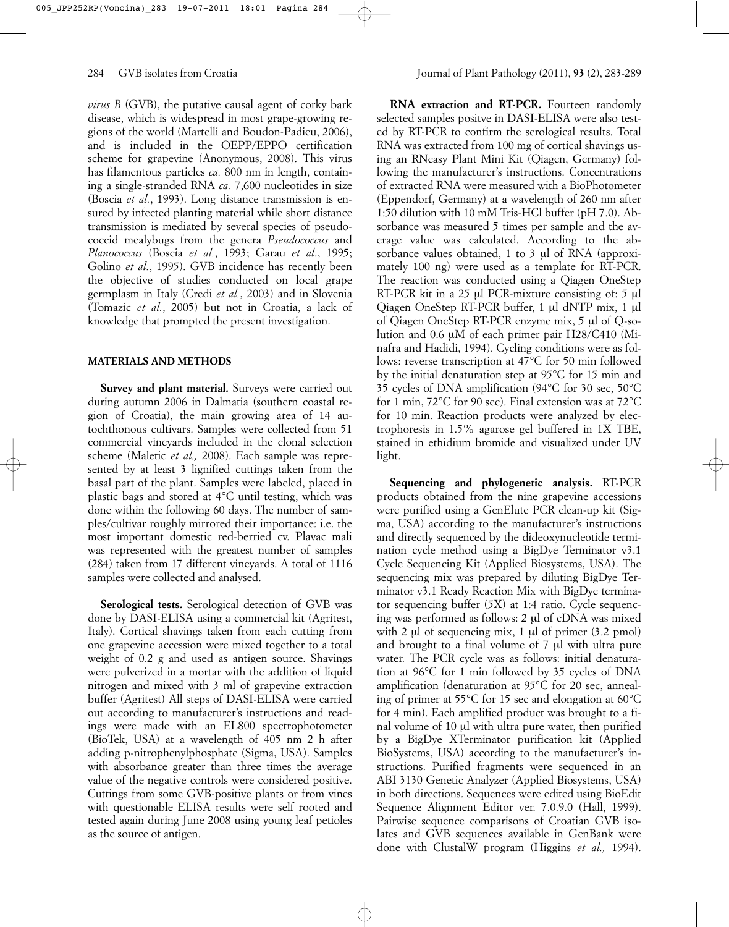*virus B* (GVB), the putative causal agent of corky bark disease, which is widespread in most grape-growing regions of the world (Martelli and Boudon-Padieu, 2006), and is included in the OEPP/EPPO certification scheme for grapevine (Anonymous, 2008). This virus has filamentous particles *ca.* 800 nm in length, containing a single-stranded RNA *ca.* 7,600 nucleotides in size (Boscia *et al.*, 1993). Long distance transmission is ensured by infected planting material while short distance transmission is mediated by several species of pseudococcid mealybugs from the genera *Pseudococcus* and *Planococcus* (Boscia *et al.*, 1993; Garau *et al*., 1995; Golino *et al.*, 1995). GVB incidence has recently been the objective of studies conducted on local grape germplasm in Italy (Credi *et al.*, 2003) and in Slovenia (Tomazic *et al.*, 2005) but not in Croatia, a lack of knowledge that prompted the present investigation.

# **MATERIALS AND METHODS**

**Survey and plant material.** Surveys were carried out during autumn 2006 in Dalmatia (southern coastal region of Croatia), the main growing area of 14 autochthonous cultivars. Samples were collected from 51 commercial vineyards included in the clonal selection scheme (Maletic *et al.,* 2008). Each sample was represented by at least 3 lignified cuttings taken from the basal part of the plant. Samples were labeled, placed in plastic bags and stored at 4°C until testing, which was done within the following 60 days. The number of samples/cultivar roughly mirrored their importance: i.e. the most important domestic red-berried cv. Plavac mali was represented with the greatest number of samples (284) taken from 17 different vineyards. A total of 1116 samples were collected and analysed.

**Serological tests.** Serological detection of GVB was done by DASI-ELISA using a commercial kit (Agritest, Italy). Cortical shavings taken from each cutting from one grapevine accession were mixed together to a total weight of 0.2 g and used as antigen source. Shavings were pulverized in a mortar with the addition of liquid nitrogen and mixed with 3 ml of grapevine extraction buffer (Agritest) All steps of DASI-ELISA were carried out according to manufacturer's instructions and readings were made with an EL800 spectrophotometer (BioTek, USA) at a wavelength of 405 nm 2 h after adding p-nitrophenylphosphate (Sigma, USA). Samples with absorbance greater than three times the average value of the negative controls were considered positive. Cuttings from some GVB-positive plants or from vines with questionable ELISA results were self rooted and tested again during June 2008 using young leaf petioles as the source of antigen.

**RNA** extraction and **RT-PCR**. Fourteen randomly selected samples positve in DASI-ELISA were also tested by RT-PCR to confirm the serological results. Total RNA was extracted from 100 mg of cortical shavings using an RNeasy Plant Mini Kit (Qiagen, Germany) following the manufacturer's instructions. Concentrations of extracted RNA were measured with a BioPhotometer (Eppendorf, Germany) at a wavelength of 260 nm after 1:50 dilution with 10 mM Tris-HCl buffer (pH 7.0). Absorbance was measured 5 times per sample and the average value was calculated. According to the absorbance values obtained, 1 to 3 µl of RNA (approximately 100 ng) were used as a template for RT-PCR. The reaction was conducted using a Qiagen OneStep RT-PCR kit in a 25 µl PCR-mixture consisting of: 5 µl Qiagen OneStep RT-PCR buffer, 1 µl dNTP mix, 1 µl of Qiagen OneStep RT-PCR enzyme mix, 5 µl of Q-solution and 0.6 µM of each primer pair H28/C410 (Minafra and Hadidi, 1994). Cycling conditions were as follows: reverse transcription at 47°C for 50 min followed by the initial denaturation step at 95°C for 15 min and 35 cycles of DNA amplification (94°C for 30 sec, 50°C for 1 min, 72°C for 90 sec). Final extension was at 72°C for 10 min. Reaction products were analyzed by electrophoresis in 1.5% agarose gel buffered in 1X TBE, stained in ethidium bromide and visualized under UV light.

**Sequencing and phylogenetic analysis.** RT-PCR products obtained from the nine grapevine accessions were purified using a GenElute PCR clean-up kit (Sigma, USA) according to the manufacturer's instructions and directly sequenced by the dideoxynucleotide termination cycle method using a BigDye Terminator v3.1 Cycle Sequencing Kit (Applied Biosystems, USA). The sequencing mix was prepared by diluting BigDye Terminator v3.1 Ready Reaction Mix with BigDye terminator sequencing buffer (5X) at 1:4 ratio. Cycle sequencing was performed as follows: 2 µl of cDNA was mixed with 2  $\mu$ l of sequencing mix, 1  $\mu$ l of primer (3.2 pmol) and brought to a final volume of 7 µl with ultra pure water. The PCR cycle was as follows: initial denaturation at 96°C for 1 min followed by 35 cycles of DNA amplification (denaturation at 95°C for 20 sec, annealing of primer at 55°C for 15 sec and elongation at 60°C for 4 min). Each amplified product was brought to a final volume of 10 µl with ultra pure water, then purified by a BigDye XTerminator purification kit (Applied BioSystems, USA) according to the manufacturer's instructions. Purified fragments were sequenced in an ABI 3130 Genetic Analyzer (Applied Biosystems, USA) in both directions. Sequences were edited using BioEdit Sequence Alignment Editor ver. 7.0.9.0 (Hall, 1999). Pairwise sequence comparisons of Croatian GVB isolates and GVB sequences available in GenBank were done with ClustalW program (Higgins *et al.,* 1994).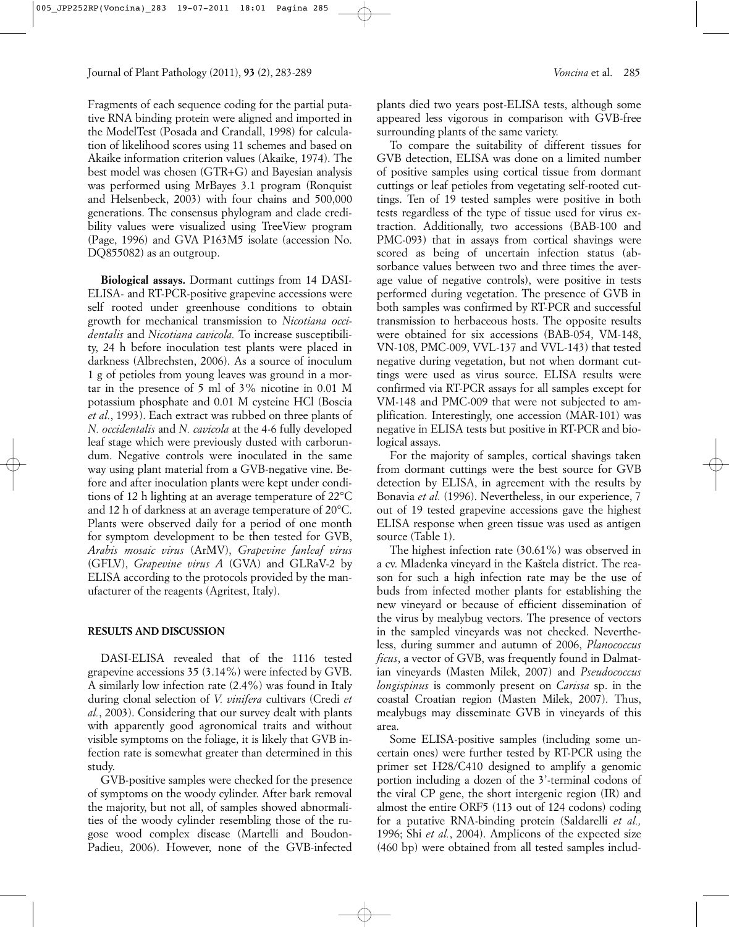Fragments of each sequence coding for the partial putative RNA binding protein were aligned and imported in the ModelTest (Posada and Crandall, 1998) for calculation of likelihood scores using 11 schemes and based on Akaike information criterion values (Akaike, 1974). The best model was chosen (GTR+G) and Bayesian analysis was performed using MrBayes 3.1 program (Ronquist and Helsenbeck, 2003) with four chains and 500,000 generations. The consensus phylogram and clade credibility values were visualized using TreeView program (Page, 1996) and GVA P163M5 isolate (accession No. DQ855082) as an outgroup.

**Biological assays.** Dormant cuttings from 14 DASI-ELISA- and RT-PCR-positive grapevine accessions were self rooted under greenhouse conditions to obtain growth for mechanical transmission to *Nicotiana occidentalis* and *Nicotiana cavicola.* To increase susceptibility, 24 h before inoculation test plants were placed in darkness (Albrechsten, 2006). As a source of inoculum 1 g of petioles from young leaves was ground in a mortar in the presence of 5 ml of 3% nicotine in 0.01 M potassium phosphate and 0.01 M cysteine HCl (Boscia *et al.*, 1993). Each extract was rubbed on three plants of *N. occidentalis* and *N. cavicola* at the 4-6 fully developed leaf stage which were previously dusted with carborundum. Negative controls were inoculated in the same way using plant material from a GVB-negative vine. Before and after inoculation plants were kept under conditions of 12 h lighting at an average temperature of 22°C and 12 h of darkness at an average temperature of 20°C. Plants were observed daily for a period of one month for symptom development to be then tested for GVB, *Arabis mosaic virus* (ArMV), *Grapevine fanleaf virus* (GFLV), *Grapevine virus A* (GVA) and GLRaV-2 by ELISA according to the protocols provided by the manufacturer of the reagents (Agritest, Italy).

#### **RESULTS AND DISCUSSION**

DASI-ELISA revealed that of the 1116 tested grapevine accessions 35 (3.14%) were infected by GVB. A similarly low infection rate (2.4%) was found in Italy during clonal selection of *V. vinifera* cultivars (Credi *et al.*, 2003). Considering that our survey dealt with plants with apparently good agronomical traits and without visible symptoms on the foliage, it is likely that GVB infection rate is somewhat greater than determined in this study.

GVB-positive samples were checked for the presence of symptoms on the woody cylinder. After bark removal the majority, but not all, of samples showed abnormalities of the woody cylinder resembling those of the rugose wood complex disease (Martelli and Boudon-Padieu, 2006). However, none of the GVB-infected

plants died two years post-ELISA tests, although some appeared less vigorous in comparison with GVB-free surrounding plants of the same variety.

To compare the suitability of different tissues for GVB detection, ELISA was done on a limited number of positive samples using cortical tissue from dormant cuttings or leaf petioles from vegetating self-rooted cuttings. Ten of 19 tested samples were positive in both tests regardless of the type of tissue used for virus extraction. Additionally, two accessions (BAB-100 and PMC-093) that in assays from cortical shavings were scored as being of uncertain infection status (absorbance values between two and three times the average value of negative controls), were positive in tests performed during vegetation. The presence of GVB in both samples was confirmed by RT-PCR and successful transmission to herbaceous hosts. The opposite results were obtained for six accessions (BAB-054, VM-148, VN-108, PMC-009, VVL-137 and VVL-143) that tested negative during vegetation, but not when dormant cuttings were used as virus source. ELISA results were confirmed via RT-PCR assays for all samples except for VM-148 and PMC-009 that were not subjected to amplification. Interestingly, one accession (MAR-101) was negative in ELISA tests but positive in RT-PCR and biological assays.

For the majority of samples, cortical shavings taken from dormant cuttings were the best source for GVB detection by ELISA, in agreement with the results by Bonavia *et al.* (1996). Nevertheless, in our experience, 7 out of 19 tested grapevine accessions gave the highest ELISA response when green tissue was used as antigen source (Table 1).

The highest infection rate (30.61%) was observed in a cv. Mladenka vineyard in the Kaštela district. The reason for such a high infection rate may be the use of buds from infected mother plants for establishing the new vineyard or because of efficient dissemination of the virus by mealybug vectors. The presence of vectors in the sampled vineyards was not checked. Nevertheless, during summer and autumn of 2006, *Planococcus ficus*, a vector of GVB, was frequently found in Dalmatian vineyards (Masten Milek, 2007) and *Pseudococcus longispinus* is commonly present on *Carissa* sp. in the coastal Croatian region (Masten Milek, 2007). Thus, mealybugs may disseminate GVB in vineyards of this area.

Some ELISA-positive samples (including some uncertain ones) were further tested by RT-PCR using the primer set H28/C410 designed to amplify a genomic portion including a dozen of the 3'-terminal codons of the viral CP gene, the short intergenic region (IR) and almost the entire ORF5 (113 out of 124 codons) coding for a putative RNA-binding protein (Saldarelli *et al.,* 1996; Shi *et al.*, 2004). Amplicons of the expected size (460 bp) were obtained from all tested samples includ-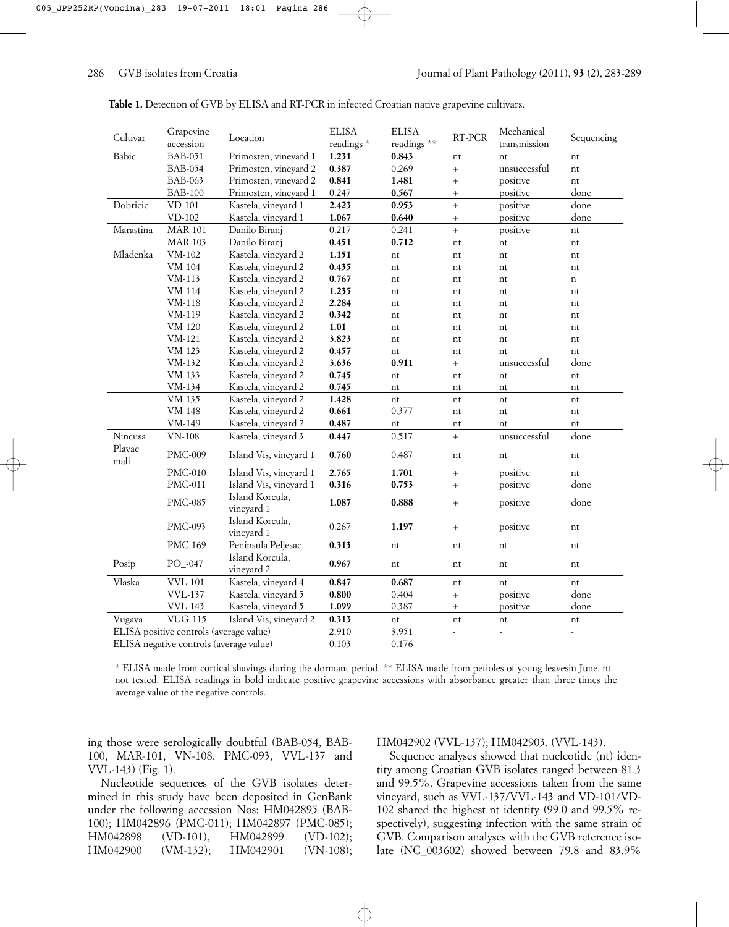| Cultivar                                | Grapevine                               | Location                      | <b>ELISA</b> | <b>ELISA</b> | $RT$ - $PCR$             | Mechanical               | Sequencing               |
|-----------------------------------------|-----------------------------------------|-------------------------------|--------------|--------------|--------------------------|--------------------------|--------------------------|
|                                         | accession                               |                               | readings*    | readings**   |                          | transmission             |                          |
| Babic                                   | <b>BAB-051</b>                          | Primosten, vineyard 1         | 1.231        | 0.843        | nt                       | nt                       | nt                       |
|                                         | <b>BAB-054</b>                          | Primosten, vineyard 2         | 0.387        | 0.269        | $\ddot{}$                | unsuccessful             | nt                       |
|                                         | <b>BAB-063</b>                          | Primosten, vineyard 2         | 0.841        | 1.481        | $\ddot{}$                | positive                 | nt                       |
|                                         | <b>BAB-100</b>                          | Primosten, vineyard 1         | 0.247        | 0.567        | $\! + \!$                | positive                 | done                     |
| Dobricic                                | VD-101                                  | Kastela, vineyard 1           | 2.423        | 0.953        | $+$                      | positive                 | done                     |
|                                         | $VD-102$                                | Kastela, vineyard 1           | 1.067        | 0.640        | $\ddot{}$                | positive                 | done                     |
| Marastina                               | <b>MAR-101</b>                          | Danilo Biranj                 | 0.217        | 0.241        | $\ddot{}$                | positive                 | nt                       |
|                                         | <b>MAR-103</b>                          | Danilo Biranj                 | 0.451        | 0.712        | nt                       | nt                       | nt                       |
| Mladenka                                | VM-102                                  | Kastela, vineyard 2           | 1.151        | nt           | nt                       | nt                       | nt                       |
|                                         | VM-104                                  | Kastela, vineyard 2           | 0.435        | nt           | nt                       | nt                       | nt                       |
|                                         | VM-113                                  | Kastela, vineyard 2           | 0.767        | nt           | nt                       | nt                       | $\mathbf n$              |
|                                         | VM-114                                  | Kastela, vineyard 2           | 1.235        | nt           | nt                       | nt                       | nt                       |
|                                         | VM-118                                  | Kastela, vineyard 2           | 2.284        | nt           | nt                       | nt                       | nt                       |
|                                         | VM-119                                  | Kastela, vineyard 2           | 0.342        | nt           | nt                       | nt                       | nt                       |
|                                         | VM-120                                  | Kastela, vineyard 2           | 1.01         | nt           | nt                       | nt                       | nt                       |
|                                         | $VM-121$                                | Kastela, vineyard 2           | 3.823        | nt           | nt                       | nt                       | nt                       |
|                                         | VM-123                                  | Kastela, vineyard 2           | 0.457        | nt           | nt                       | nt                       | nt                       |
|                                         | VM-132                                  | Kastela, vineyard 2           | 3.636        | 0.911        | $\ddot{}$                | unsuccessful             | done                     |
|                                         | VM-133                                  | Kastela, vineyard 2           | 0.745        | nt           | nt                       | nt                       | nt                       |
|                                         | VM-134                                  | Kastela, vineyard 2           | 0.745        | nt           | nt                       | nt                       | nt                       |
|                                         | VM-135                                  | Kastela, vineyard 2           | 1.428        | nt           | nt                       | nt                       | nt                       |
|                                         | VM-148                                  | Kastela, vineyard 2           | 0.661        | 0.377        | nt                       | nt                       | nt                       |
|                                         | VM-149                                  | Kastela, vineyard 2           | 0.487        | nt           | nt                       | nt                       | nt                       |
| Nincusa                                 | $VN-108$                                | Kastela, vineyard 3           | 0.447        | 0.517        | $\ddot{}$                | unsuccessful             | done                     |
| Plavac<br>mali                          | PMC-009                                 | Island Vis, vineyard 1        | 0.760        | 0.487        | nt                       | nt                       | nt                       |
|                                         | <b>PMC-010</b>                          | Island Vis, vineyard 1        | 2.765        | 1.701        | $^{+}$                   | positive                 | nt                       |
|                                         | <b>PMC-011</b>                          | Island Vis, vineyard 1        | 0.316        | 0.753        | $+$                      | positive                 | done                     |
|                                         | <b>PMC-085</b>                          | Island Korcula,               | 1.087        | 0.888        | $^{+}$                   | positive                 | done                     |
|                                         |                                         | vineyard 1                    |              |              |                          |                          |                          |
|                                         | PMC-093                                 | Island Korcula,<br>vineyard 1 | 0.267        | 1.197        | $\! + \!\!\!\!$          | positive                 | nt                       |
|                                         | PMC-169                                 | Peninsula Peljesac            | 0.313        | nt           | nt                       | nt                       | nt                       |
| Posip                                   | $PO_$ -047                              | Island Korcula,<br>vineyard 2 | 0.967        | nt           | nt                       | nt                       | nt                       |
| Vlaska                                  | <b>VVL-101</b>                          | Kastela, vineyard 4           | 0.847        | 0.687        | nt                       | nt                       | nt                       |
|                                         | <b>VVL-137</b>                          | Kastela, vineyard 5           | 0.800        | 0.404        | $\ddot{}$                | positive                 | done                     |
|                                         | <b>VVL-143</b>                          | Kastela, vineyard 5           | 1.099        | 0.387        | $\! + \!\!\!\!$          | positive                 | done                     |
| Vugava                                  | <b>VUG-115</b>                          | Island Vis, vineyard 2        | 0.313        | nt           | nt                       | nt                       | nt                       |
|                                         | ELISA positive controls (average value) |                               | 2.910        | 3.951        | $\overline{\phantom{a}}$ | L                        | $\overline{a}$           |
| ELISA negative controls (average value) |                                         |                               | 0.103        | 0.176        | $\overline{\phantom{a}}$ | $\overline{\phantom{a}}$ | $\overline{\phantom{a}}$ |

**Table 1.** Detection of GVB by ELISA and RT-PCR in infected Croatian native grapevine cultivars.

\* ELISA made from cortical shavings during the dormant period. \*\* ELISA made from petioles of young leavesin June. nt not tested. ELISA readings in bold indicate positive grapevine accessions with absorbance greater than three times the average value of the negative controls.

ing those were serologically doubtful (BAB-054, BAB-100, MAR-101, VN-108, PMC-093, VVL-137 and VVL-143) (Fig. 1).

Nucleotide sequences of the GVB isolates determined in this study have been deposited in GenBank under the following accession Nos: HM042895 (BAB-100); HM042896 (PMC-011); HM042897 (PMC-085); HM042898 (VD-101), HM042899 (VD-102); HM042900 (VM-132); HM042901 (VN-108);

#### HM042902 (VVL-137); HM042903. (VVL-143).

Sequence analyses showed that nucleotide (nt) identity among Croatian GVB isolates ranged between 81.3 and 99.5%. Grapevine accessions taken from the same vineyard, such as VVL-137/VVL-143 and VD-101/VD-102 shared the highest nt identity (99.0 and 99.5% respectively), suggesting infection with the same strain of GVB. Comparison analyses with the GVB reference isolate (NC\_003602) showed between 79.8 and 83.9%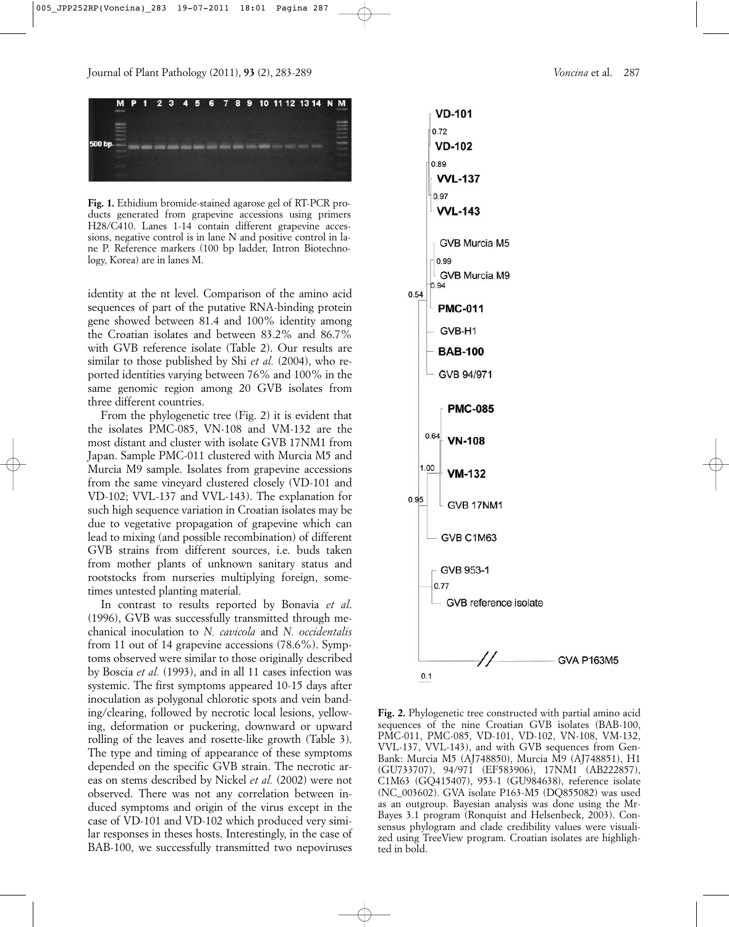

**Fig. 1.** Ethidium bromide-stained agarose gel of RT-PCR products generated from grapevine accessions using primers H28/C410. Lanes 1-14 contain different grapevine accessions, negative control is in lane N and positive control in lane P. Reference markers (100 bp ladder, Intron Biotechnology, Korea) are in lanes M.

identity at the nt level. Comparison of the amino acid sequences of part of the putative RNA-binding protein gene showed between 81.4 and 100% identity among the Croatian isolates and between 83.2% and 86.7% with GVB reference isolate (Table 2). Our results are similar to those published by Shi *et al.* (2004), who reported identities varying between 76% and 100% in the same genomic region among 20 GVB isolates from three different countries.

From the phylogenetic tree (Fig. 2) it is evident that the isolates PMC-085, VN-108 and VM-132 are the most distant and cluster with isolate GVB 17NM1 from Japan. Sample PMC-011 clustered with Murcia M5 and Murcia M9 sample. Isolates from grapevine accessions from the same vineyard clustered closely (VD-101 and VD-102; VVL-137 and VVL-143). The explanation for such high sequence variation in Croatian isolates may be due to vegetative propagation of grapevine which can lead to mixing (and possible recombination) of different GVB strains from different sources, i.e. buds taken from mother plants of unknown sanitary status and rootstocks from nurseries multiplying foreign, sometimes untested planting material.

In contrast to results reported by Bonavia *et al*. (1996), GVB was successfully transmitted through mechanical inoculation to *N. cavicola* and *N. occidentalis* from 11 out of 14 grapevine accessions (78.6%). Symptoms observed were similar to those originally described by Boscia *et al.* (1993), and in all 11 cases infection was systemic. The first symptoms appeared 10-15 days after inoculation as polygonal chlorotic spots and vein banding/clearing, followed by necrotic local lesions, yellowing, deformation or puckering, downward or upward rolling of the leaves and rosette-like growth (Table 3). The type and timing of appearance of these symptoms depended on the specific GVB strain. The necrotic areas on stems described by Nickel *et al.* (2002) were not observed. There was not any correlation between induced symptoms and origin of the virus except in the case of VD-101 and VD-102 which produced very similar responses in theses hosts. Interestingly, in the case of BAB-100, we successfully transmitted two nepoviruses



**Fig. 2.** Phylogenetic tree constructed with partial amino acid sequences of the nine Croatian GVB isolates (BAB-100, PMC-011, PMC-085, VD-101, VD-102, VN-108, VM-132, VVL-137, VVL-143), and with GVB sequences from Gen-Bank: Murcia M5 (AJ748850), Murcia M9 (AJ748851), H1 (GU733707), 94/971 (EF583906), 17NM1 (AB222857), C1M63 (GQ415407), 953-1 (GU984638), reference isolate (NC\_003602). GVA isolate P163-M5 (DQ855082) was used as an outgroup. Bayesian analysis was done using the Mr-Bayes 3.1 program (Ronquist and Helsenbeck, 2003). Consensus phylogram and clade credibility values were visualized using TreeView program. Croatian isolates are highlighted in bold.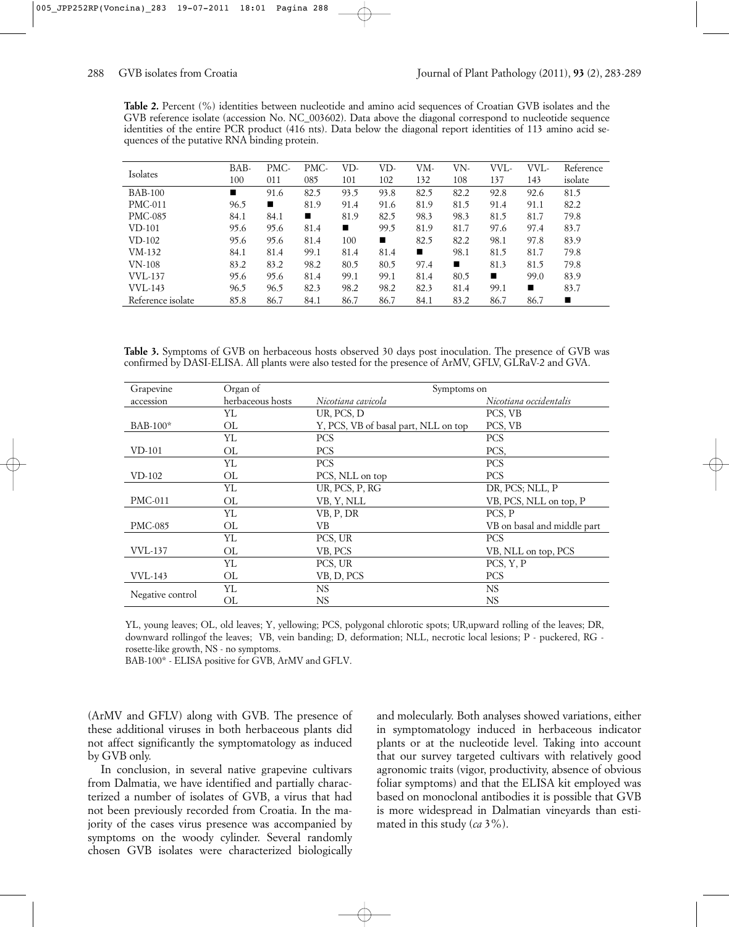| <b>Table 2.</b> Percent (%) identities between nucleotide and amino acid sequences of Croatian GVB isolates and the |  |  |
|---------------------------------------------------------------------------------------------------------------------|--|--|
| GVB reference isolate (accession No. NC 003602). Data above the diagonal correspond to nucleotide sequence          |  |  |
| identities of the entire PCR product (416 nts). Data below the diagonal report identities of 113 amino acid se-     |  |  |
| quences of the putative RNA binding protein.                                                                        |  |  |

| Isolates          | BAB- | PMC- | PMC- | VD-            | VD-  | VM-  | VN-  | VVL- | VVL- | Reference |
|-------------------|------|------|------|----------------|------|------|------|------|------|-----------|
|                   | 100  | 011  | 085  | 101            | 102  | 132  | 108  | 137  | 143  | isolate   |
| <b>BAB-100</b>    | п    | 91.6 | 82.5 | 93.5           | 93.8 | 82.5 | 82.2 | 92.8 | 92.6 | 81.5      |
| <b>PMC-011</b>    | 96.5 | п    | 81.9 | 91.4           | 91.6 | 81.9 | 81.5 | 91.4 | 91.1 | 82.2      |
| <b>PMC-085</b>    | 84.1 | 84.1 | п    | 81.9           | 82.5 | 98.3 | 98.3 | 81.5 | 81.7 | 79.8      |
| <b>VD-101</b>     | 95.6 | 95.6 | 81.4 | $\blacksquare$ | 99.5 | 81.9 | 81.7 | 97.6 | 97.4 | 83.7      |
| VD-102            | 95.6 | 95.6 | 81.4 | 100            | п    | 82.5 | 82.2 | 98.1 | 97.8 | 83.9      |
| VM-132            | 84.1 | 81.4 | 99.1 | 81.4           | 81.4 | п    | 98.1 | 81.5 | 81.7 | 79.8      |
| $VN-108$          | 83.2 | 83.2 | 98.2 | 80.5           | 80.5 | 97.4 | п    | 81.3 | 81.5 | 79.8      |
| <b>VVL-137</b>    | 95.6 | 95.6 | 81.4 | 99.1           | 99.1 | 81.4 | 80.5 | п    | 99.0 | 83.9      |
| <b>VVL-143</b>    | 96.5 | 96.5 | 82.3 | 98.2           | 98.2 | 82.3 | 81.4 | 99.1 | п    | 83.7      |
| Reference isolate | 85.8 | 86.7 | 84.1 | 86.7           | 86.7 | 84.1 | 83.2 | 86.7 | 86.7 | п         |

**Table 3.** Symptoms of GVB on herbaceous hosts observed 30 days post inoculation. The presence of GVB was confirmed by DASI-ELISA. All plants were also tested for the presence of ArMV, GFLV, GLRaV-2 and GVA.

| Grapevine        | Organ of         | Symptoms on                          |                             |  |  |
|------------------|------------------|--------------------------------------|-----------------------------|--|--|
| accession        | herbaceous hosts | Nicotiana cavicola                   | Nicotiana occidentalis      |  |  |
|                  | YL               | UR, PCS, D                           | PCS, VB                     |  |  |
| BAB-100*         | ΟL               | Y, PCS, VB of basal part, NLL on top | PCS, VB                     |  |  |
|                  | YL               | <b>PCS</b>                           | <b>PCS</b>                  |  |  |
| $VD-101$         | OL               | <b>PCS</b>                           | PCS,                        |  |  |
|                  | YL               | <b>PCS</b>                           | <b>PCS</b>                  |  |  |
| $VD-102$         | OL               | PCS, NLL on top                      | <b>PCS</b>                  |  |  |
|                  | YL               | UR, PCS, P, RG                       | DR, PCS; NLL, P             |  |  |
| <b>PMC-011</b>   | OL               | VB, Y, NLL                           | VB, PCS, NLL on top, P      |  |  |
|                  | YL               | VB, P, DR                            | PCS, P                      |  |  |
| <b>PMC-085</b>   | OL               | VВ                                   | VB on basal and middle part |  |  |
|                  | YL               | PCS, UR                              | <b>PCS</b>                  |  |  |
| <b>VVL-137</b>   | OL               | VB, PCS                              | VB, NLL on top, PCS         |  |  |
|                  | YL               | PCS, UR                              | PCS, Y, P                   |  |  |
| <b>VVL-143</b>   | OL               | VB, D, PCS                           | <b>PCS</b>                  |  |  |
| Negative control | YL               | <b>NS</b>                            | <b>NS</b>                   |  |  |
|                  | ΟL               | NS.                                  | NS.                         |  |  |

YL, young leaves; OL, old leaves; Y, yellowing; PCS, polygonal chlorotic spots; UR,upward rolling of the leaves; DR, downward rollingof the leaves; VB, vein banding; D, deformation; NLL, necrotic local lesions; P - puckered, RG rosette-like growth, NS - no symptoms.

BAB-100\* - ELISA positive for GVB, ArMV and GFLV.

(ArMV and GFLV) along with GVB. The presence of these additional viruses in both herbaceous plants did not affect significantly the symptomatology as induced by GVB only.

In conclusion, in several native grapevine cultivars from Dalmatia, we have identified and partially characterized a number of isolates of GVB, a virus that had not been previously recorded from Croatia. In the majority of the cases virus presence was accompanied by symptoms on the woody cylinder. Several randomly chosen GVB isolates were characterized biologically and molecularly. Both analyses showed variations, either in symptomatology induced in herbaceous indicator plants or at the nucleotide level. Taking into account that our survey targeted cultivars with relatively good agronomic traits (vigor, productivity, absence of obvious foliar symptoms) and that the ELISA kit employed was based on monoclonal antibodies it is possible that GVB is more widespread in Dalmatian vineyards than estimated in this study (*ca* 3%).